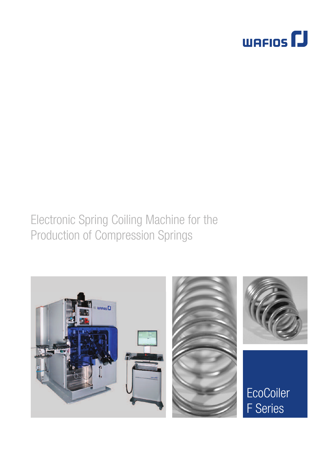

### Electronic Spring Coiling Machine for the Production of Compression Springs

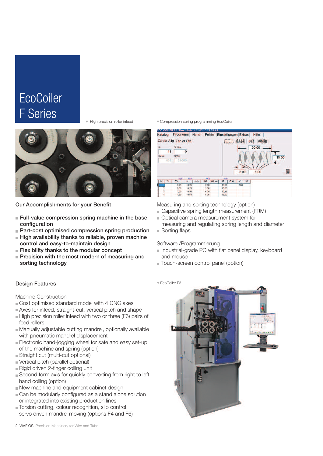# **EcoCoiler** F Series

High precision roller infeed



Our Accomplishments for your Benefit

- **Full-value compression spring machine in the base** configuration
- Part-cost optimised compression spring production
- High availability thanks to reliable, proven machine control and easy-to-maintain design
- **Flexibility thanks to the modular concept**
- $\blacksquare$  Precision with the most modern of measuring and sorting technology

#### Design Features

#### Machine Construction

- Cost optimised standard model with 4 CNC axes
- Axes for infeed, straight-cut, vertical pitch and shape
- High precision roller infeed with two or three (F6) pairs of feed rollers
- Manually adjustable cutting mandrel, optionally available with pneumatic mandrel displacement
- Electronic hand-jogging wheel for safe and easy set-up of the machine and spring (option)
- Straight cut (multi-cut optional)
- Vertical pitch (parallel optional)
- Rigid driven 2-finger coiling unit
- Second form axis for quickly converting from right to left hand coiling (option)
- New machine and equipment cabinet design
- Can be modularly configured as a stand alone solution or integrated into existing production lines
- Torsion cutting, colour recognition, slip control, servo driven mandrel moving (options F4 and F6)

Compression spring programming EcoCoiler



Measuring and sorting technology (option)

- Capacitive spring length measurement (FRM)
- Optical camera measurement system for measuring and regulating spring length and diameter
- Sorting flaps

### Software /Programmierung

- Industrial-grade PC with flat panel display, keyboard and mouse
- **Touch-screen control panel (option)**

EcoCoiler F3

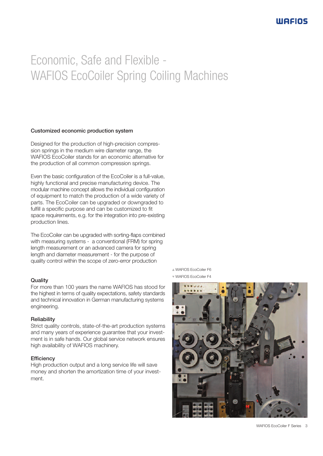# Economic, Safe and Flexible - WAFIOS EcoCoiler Spring Coiling Machines

### Customized economic production system

Designed for the production of high-precision compression springs in the medium wire diameter range, the WAFIOS EcoCoiler stands for an economic alternative for the production of all common compression springs.

Even the basic configuration of the EcoCoiler is a full-value, highly functional and precise manufacturing device. The modular machine concept allows the individual configuration of equipment to match the production of a wide variety of parts. The EcoCoiler can be upgraded or downgraded to fulfill a specific purpose and can be customized to fit space requirements, e.g. for the integration into pre-existing production lines.

The EcoCoiler can be upgraded with sorting-flaps combined with measuring systems - a conventional (FRM) for spring length measurement or an advanced camera for spring length and diameter measurement - for the purpose of quality control within the scope of zero-error production

### **Quality**

For more than 100 years the name WAFIOS has stood for the highest in terms of quality expectations, safety standards and technical innovation in German manufacturing systems engineering.

### **Reliability**

Strict quality controls, state-of-the-art production systems and many years of experience guarantee that your investment is in safe hands. Our global service network ensures high availability of WAFIOS machinery.

### **Efficiency**

High production output and a long service life will save money and shorten the amortization time of your investment.

WAFIOS EcoCoiler F6 WAFIOS EcoCoiler F4



WAFIOS EcoCoiler F Series 3